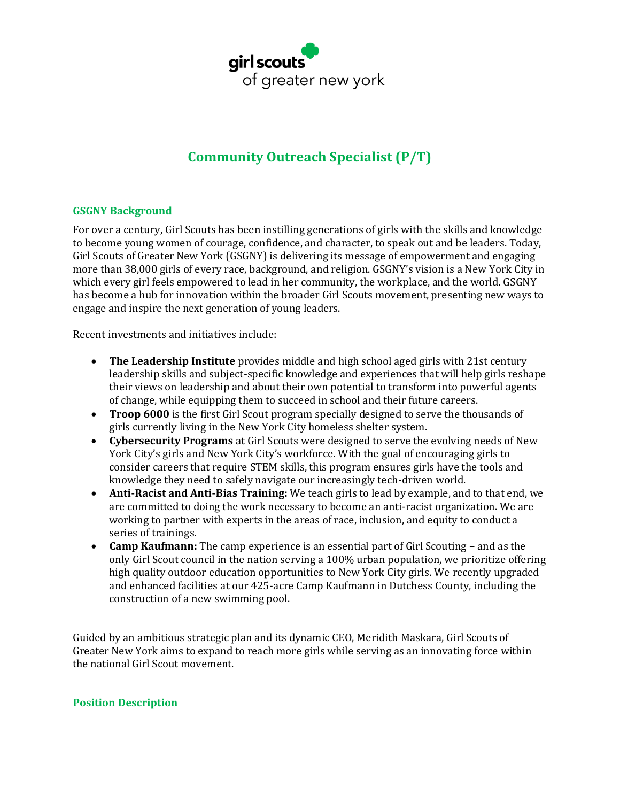

# **Community Outreach Specialist (P/T)**

#### **GSGNY Background**

For over a century, Girl Scouts has been instilling generations of girls with the skills and knowledge to become young women of courage, confidence, and character, to speak out and be leaders. Today, Girl Scouts of Greater New York (GSGNY) is delivering its message of empowerment and engaging more than 38,000 girls of every race, background, and religion. GSGNY's vision is a New York City in which every girl feels empowered to lead in her community, the workplace, and the world. GSGNY has become a hub for innovation within the broader Girl Scouts movement, presenting new ways to engage and inspire the next generation of young leaders.

Recent investments and initiatives include:

- **The Leadership Institute** provides middle and high school aged girls with 21st century leadership skills and subject-specific knowledge and experiences that will help girls reshape their views on leadership and about their own potential to transform into powerful agents of change, while equipping them to succeed in school and their future careers.
- **Troop 6000** is the first Girl Scout program specially designed to serve the thousands of girls currently living in the New York City homeless shelter system.
- **Cybersecurity Programs** at Girl Scouts were designed to serve the evolving needs of New York City's girls and New York City's workforce. With the goal of encouraging girls to consider careers that require STEM skills, this program ensures girls have the tools and knowledge they need to safely navigate our increasingly tech-driven world.
- **Anti-Racist and Anti-Bias Training:** We teach girls to lead by example, and to that end, we are committed to doing the work necessary to become an anti-racist organization. We are working to partner with experts in the areas of race, inclusion, and equity to conduct a series of trainings.
- **Camp Kaufmann:** The camp experience is an essential part of Girl Scouting and as the only Girl Scout council in the nation serving a 100% urban population, we prioritize offering high quality outdoor education opportunities to New York City girls. We recently upgraded and enhanced facilities at our 425-acre Camp Kaufmann in Dutchess County, including the construction of a new swimming pool.

Guided by an ambitious strategic plan and its dynamic CEO, Meridith Maskara, Girl Scouts of Greater New York aims to expand to reach more girls while serving as an innovating force within the national Girl Scout movement.

#### **Position Description**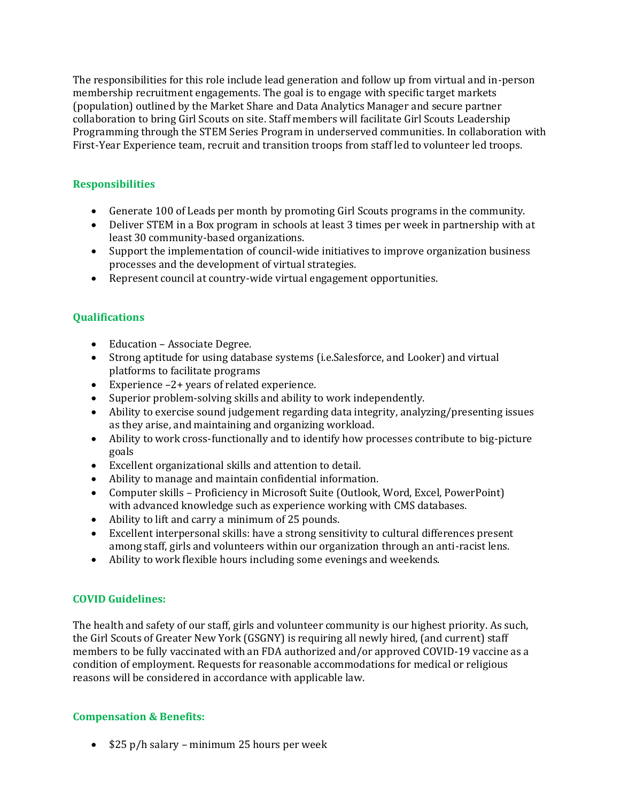The responsibilities for this role include lead generation and follow up from virtual and in-person membership recruitment engagements. The goal is to engage with specific target markets (population) outlined by the Market Share and Data Analytics Manager and secure partner collaboration to bring Girl Scouts on site. Staff members will facilitate Girl Scouts Leadership Programming through the STEM Series Program in underserved communities. In collaboration with First-Year Experience team, recruit and transition troops from staff led to volunteer led troops.

### **Responsibilities**

- Generate 100 of Leads per month by promoting Girl Scouts programs in the community.
- Deliver STEM in a Box program in schools at least 3 times per week in partnership with at least 30 community-based organizations.
- Support the implementation of council-wide initiatives to improve organization business processes and the development of virtual strategies.
- Represent council at country-wide virtual engagement opportunities.

## **Qualifications**

- Education Associate Degree.
- Strong aptitude for using database systems (i.e.Salesforce, and Looker) and virtual platforms to facilitate programs
- Experience –2+ years of related experience.
- Superior problem-solving skills and ability to work independently.
- Ability to exercise sound judgement regarding data integrity, analyzing/presenting issues as they arise, and maintaining and organizing workload.
- Ability to work cross-functionally and to identify how processes contribute to big-picture goals
- Excellent organizational skills and attention to detail.
- Ability to manage and maintain confidential information.
- Computer skills Proficiency in Microsoft Suite (Outlook, Word, Excel, PowerPoint) with advanced knowledge such as experience working with CMS databases.
- Ability to lift and carry a minimum of 25 pounds.
- Excellent interpersonal skills: have a strong sensitivity to cultural differences present among staff, girls and volunteers within our organization through an anti-racist lens.
- Ability to work flexible hours including some evenings and weekends.

### **COVID Guidelines:**

The health and safety of our staff, girls and volunteer community is our highest priority. As such, the Girl Scouts of Greater New York (GSGNY) is requiring all newly hired, (and current) staff members to be fully vaccinated with an FDA authorized and/or approved COVID-19 vaccine as a condition of employment. Requests for reasonable accommodations for medical or religious reasons will be considered in accordance with applicable law.

### **Compensation & Benefits:**

• \$25 p/h salary – minimum 25 hours per week